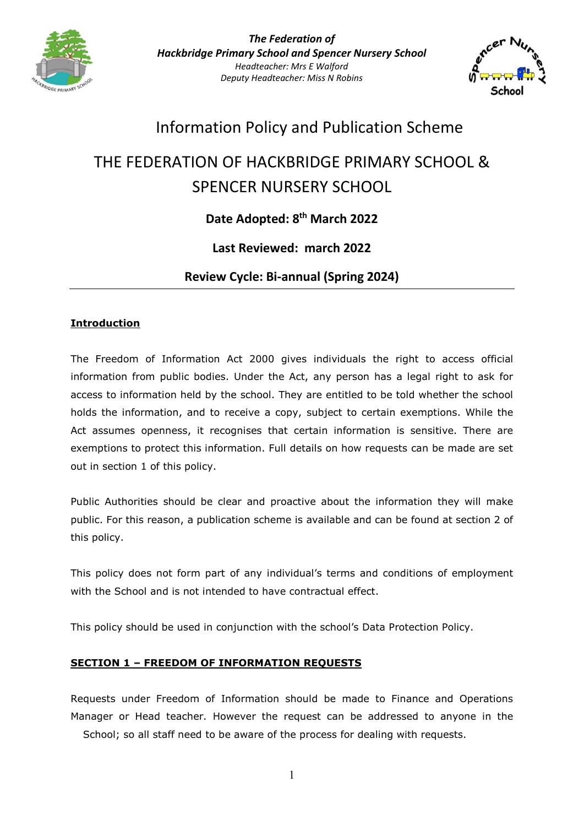

*The Federation of Hackbridge Primary School and Spencer Nursery School Headteacher: Mrs E Walford Deputy Headteacher: Miss N Robins*



## Information Policy and Publication Scheme

# THE FEDERATION OF HACKBRIDGE PRIMARY SCHOOL & SPENCER NURSERY SCHOOL

## **Date Adopted: 8th March 2022**

## **Last Reviewed: march 2022**

**Review Cycle: Bi-annual (Spring 2024)**

#### **Introduction**

The Freedom of Information Act 2000 gives individuals the right to access official information from public bodies. Under the Act, any person has a legal right to ask for access to information held by the school. They are entitled to be told whether the school holds the information, and to receive a copy, subject to certain exemptions. While the Act assumes openness, it recognises that certain information is sensitive. There are exemptions to protect this information. Full details on how requests can be made are set out in section 1 of this policy.

Public Authorities should be clear and proactive about the information they will make public. For this reason, a publication scheme is available and can be found at section 2 of this policy.

This policy does not form part of any individual's terms and conditions of employment with the School and is not intended to have contractual effect.

This policy should be used in conjunction with the school's Data Protection Policy.

#### **SECTION 1 – FREEDOM OF INFORMATION REQUESTS**

Requests under Freedom of Information should be made to Finance and Operations Manager or Head teacher. However the request can be addressed to anyone in the School; so all staff need to be aware of the process for dealing with requests.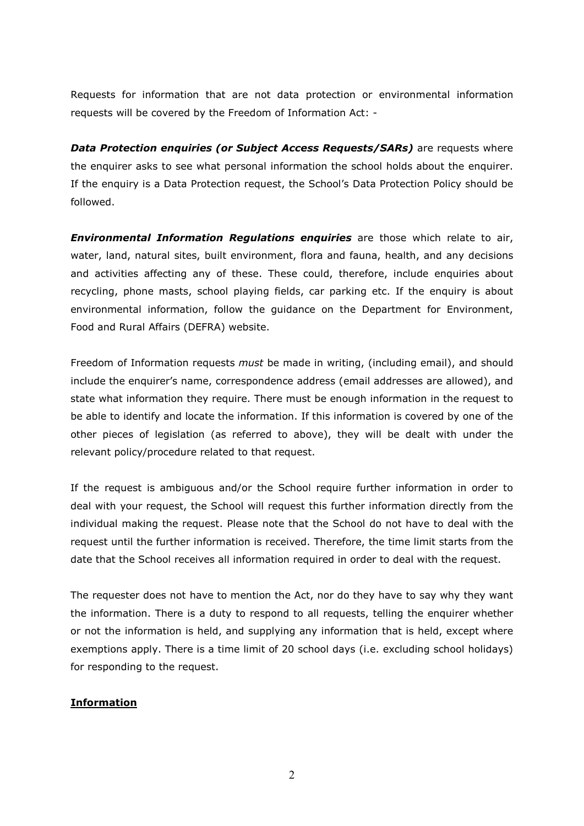Requests for information that are not data protection or environmental information requests will be covered by the Freedom of Information Act: -

*Data Protection enquiries (or Subject Access Requests/SARs)* are requests where the enquirer asks to see what personal information the school holds about the enquirer. If the enquiry is a Data Protection request, the School's Data Protection Policy should be followed.

*Environmental Information Regulations enquiries* are those which relate to air, water, land, natural sites, built environment, flora and fauna, health, and any decisions and activities affecting any of these. These could, therefore, include enquiries about recycling, phone masts, school playing fields, car parking etc. If the enquiry is about environmental information, follow the guidance on the Department for Environment, Food and Rural Affairs (DEFRA) website.

Freedom of Information requests *must* be made in writing, (including email), and should include the enquirer's name, correspondence address (email addresses are allowed), and state what information they require. There must be enough information in the request to be able to identify and locate the information. If this information is covered by one of the other pieces of legislation (as referred to above), they will be dealt with under the relevant policy/procedure related to that request.

If the request is ambiguous and/or the School require further information in order to deal with your request, the School will request this further information directly from the individual making the request. Please note that the School do not have to deal with the request until the further information is received. Therefore, the time limit starts from the date that the School receives all information required in order to deal with the request.

The requester does not have to mention the Act, nor do they have to say why they want the information. There is a duty to respond to all requests, telling the enquirer whether or not the information is held, and supplying any information that is held, except where exemptions apply. There is a time limit of 20 school days (i.e. excluding school holidays) for responding to the request.

#### **Information**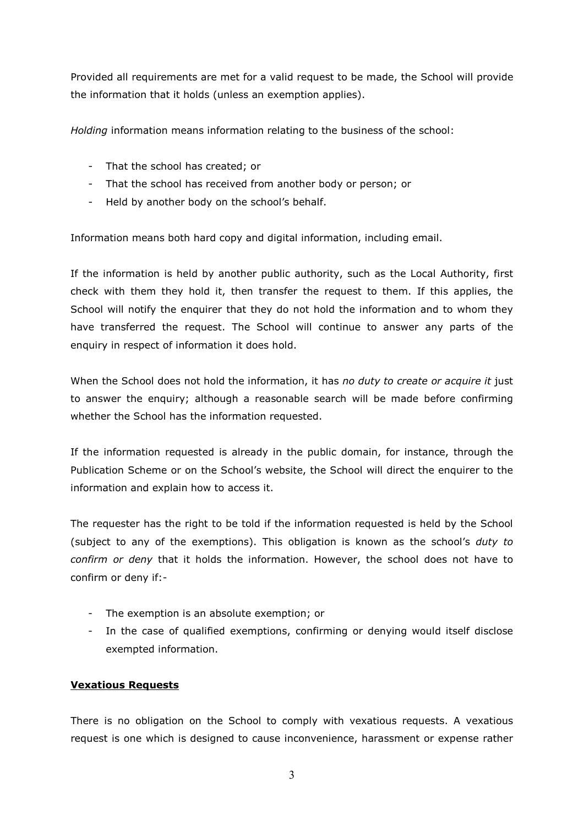Provided all requirements are met for a valid request to be made, the School will provide the information that it holds (unless an exemption applies).

*Holding* information means information relating to the business of the school:

- That the school has created; or
- That the school has received from another body or person; or
- Held by another body on the school's behalf.

Information means both hard copy and digital information, including email.

If the information is held by another public authority, such as the Local Authority, first check with them they hold it, then transfer the request to them. If this applies, the School will notify the enquirer that they do not hold the information and to whom they have transferred the request. The School will continue to answer any parts of the enquiry in respect of information it does hold.

When the School does not hold the information, it has *no duty to create or acquire it* just to answer the enquiry; although a reasonable search will be made before confirming whether the School has the information requested.

If the information requested is already in the public domain, for instance, through the Publication Scheme or on the School's website, the School will direct the enquirer to the information and explain how to access it.

The requester has the right to be told if the information requested is held by the School (subject to any of the exemptions). This obligation is known as the school's *duty to confirm or deny* that it holds the information. However, the school does not have to confirm or deny if:-

- The exemption is an absolute exemption; or
- In the case of qualified exemptions, confirming or denying would itself disclose exempted information.

#### **Vexatious Requests**

There is no obligation on the School to comply with vexatious requests. A vexatious request is one which is designed to cause inconvenience, harassment or expense rather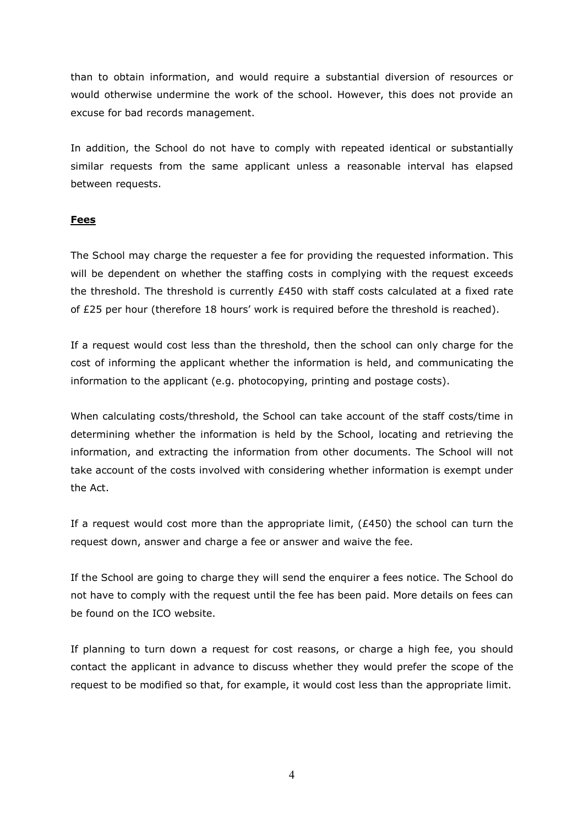than to obtain information, and would require a substantial diversion of resources or would otherwise undermine the work of the school. However, this does not provide an excuse for bad records management.

In addition, the School do not have to comply with repeated identical or substantially similar requests from the same applicant unless a reasonable interval has elapsed between requests.

#### **Fees**

The School may charge the requester a fee for providing the requested information. This will be dependent on whether the staffing costs in complying with the request exceeds the threshold. The threshold is currently  $E450$  with staff costs calculated at a fixed rate of £25 per hour (therefore 18 hours' work is required before the threshold is reached).

If a request would cost less than the threshold, then the school can only charge for the cost of informing the applicant whether the information is held, and communicating the information to the applicant (e.g. photocopying, printing and postage costs).

When calculating costs/threshold, the School can take account of the staff costs/time in determining whether the information is held by the School, locating and retrieving the information, and extracting the information from other documents. The School will not take account of the costs involved with considering whether information is exempt under the Act.

If a request would cost more than the appropriate limit,  $(E450)$  the school can turn the request down, answer and charge a fee or answer and waive the fee.

If the School are going to charge they will send the enquirer a fees notice. The School do not have to comply with the request until the fee has been paid. More details on fees can be found on the ICO website.

If planning to turn down a request for cost reasons, or charge a high fee, you should contact the applicant in advance to discuss whether they would prefer the scope of the request to be modified so that, for example, it would cost less than the appropriate limit.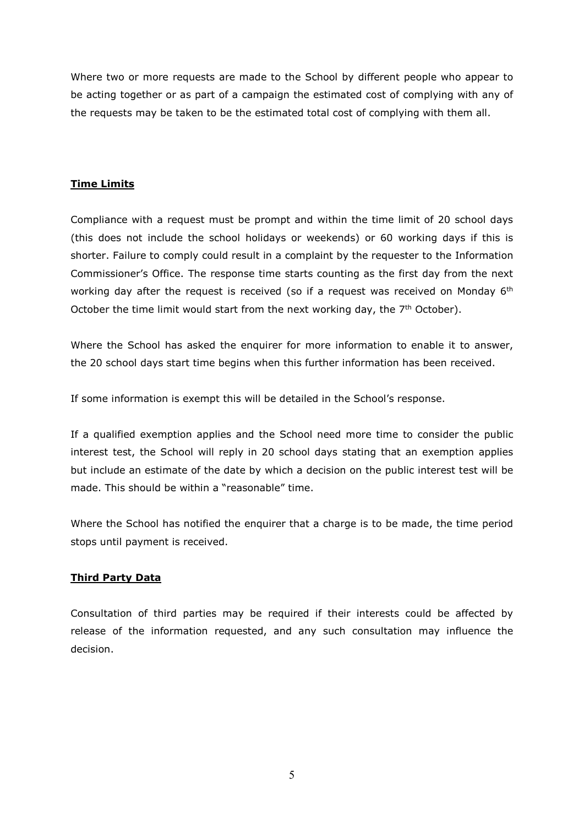Where two or more requests are made to the School by different people who appear to be acting together or as part of a campaign the estimated cost of complying with any of the requests may be taken to be the estimated total cost of complying with them all.

#### **Time Limits**

Compliance with a request must be prompt and within the time limit of 20 school days (this does not include the school holidays or weekends) or 60 working days if this is shorter. Failure to comply could result in a complaint by the requester to the Information Commissioner's Office. The response time starts counting as the first day from the next working day after the request is received (so if a request was received on Monday 6<sup>th</sup> October the time limit would start from the next working day, the  $7<sup>th</sup>$  October).

Where the School has asked the enquirer for more information to enable it to answer, the 20 school days start time begins when this further information has been received.

If some information is exempt this will be detailed in the School's response.

If a qualified exemption applies and the School need more time to consider the public interest test, the School will reply in 20 school days stating that an exemption applies but include an estimate of the date by which a decision on the public interest test will be made. This should be within a "reasonable" time.

Where the School has notified the enquirer that a charge is to be made, the time period stops until payment is received.

#### **Third Party Data**

Consultation of third parties may be required if their interests could be affected by release of the information requested, and any such consultation may influence the decision.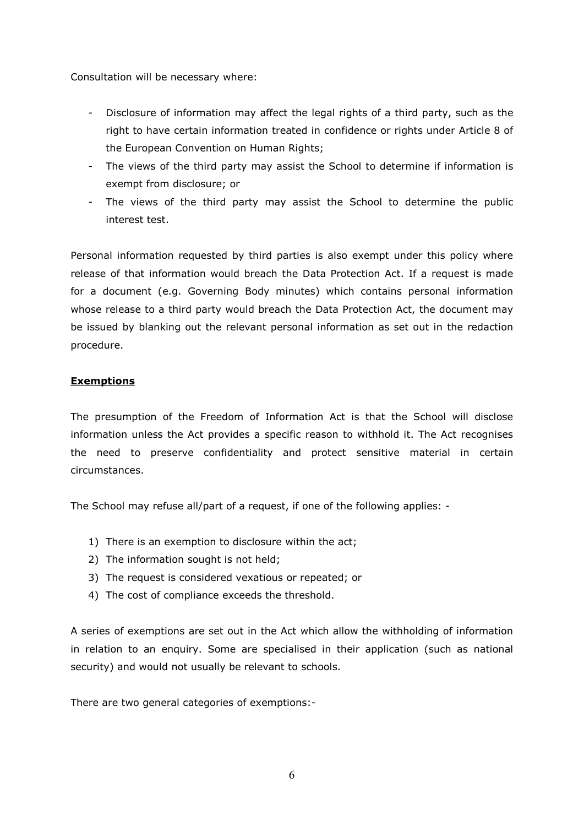Consultation will be necessary where:

- Disclosure of information may affect the legal rights of a third party, such as the right to have certain information treated in confidence or rights under Article 8 of the European Convention on Human Rights;
- The views of the third party may assist the School to determine if information is exempt from disclosure; or
- The views of the third party may assist the School to determine the public interest test.

Personal information requested by third parties is also exempt under this policy where release of that information would breach the Data Protection Act. If a request is made for a document (e.g. Governing Body minutes) which contains personal information whose release to a third party would breach the Data Protection Act, the document may be issued by blanking out the relevant personal information as set out in the redaction procedure.

#### **Exemptions**

The presumption of the Freedom of Information Act is that the School will disclose information unless the Act provides a specific reason to withhold it. The Act recognises the need to preserve confidentiality and protect sensitive material in certain circumstances.

The School may refuse all/part of a request, if one of the following applies: -

- 1) There is an exemption to disclosure within the act;
- 2) The information sought is not held;
- 3) The request is considered vexatious or repeated; or
- 4) The cost of compliance exceeds the threshold.

A series of exemptions are set out in the Act which allow the withholding of information in relation to an enquiry. Some are specialised in their application (such as national security) and would not usually be relevant to schools.

There are two general categories of exemptions:-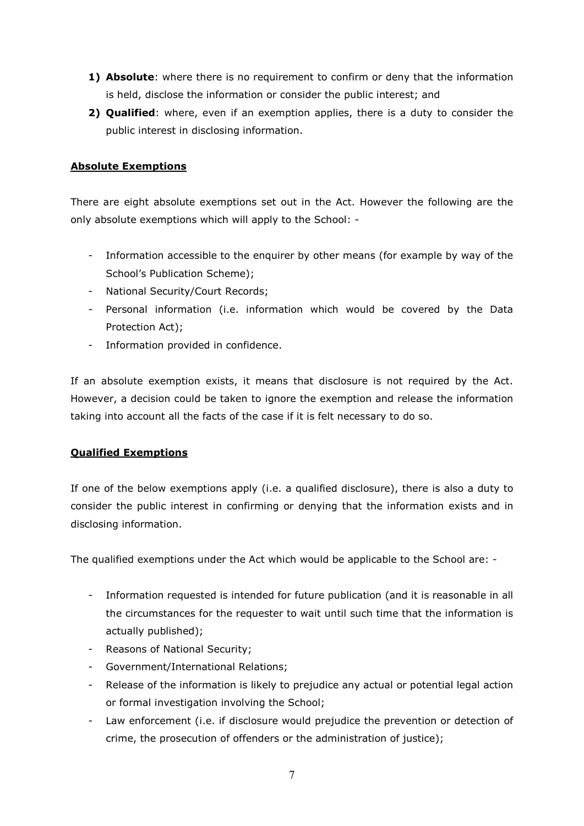- **1) Absolute**: where there is no requirement to confirm or deny that the information is held, disclose the information or consider the public interest; and
- **2) Qualified**: where, even if an exemption applies, there is a duty to consider the public interest in disclosing information.

#### **Absolute Exemptions**

There are eight absolute exemptions set out in the Act. However the following are the only absolute exemptions which will apply to the School: -

- Information accessible to the enquirer by other means (for example by way of the School's Publication Scheme);
- National Security/Court Records;
- Personal information (i.e. information which would be covered by the Data Protection Act);
- Information provided in confidence.

If an absolute exemption exists, it means that disclosure is not required by the Act. However, a decision could be taken to ignore the exemption and release the information taking into account all the facts of the case if it is felt necessary to do so.

#### **Qualified Exemptions**

If one of the below exemptions apply (i.e. a qualified disclosure), there is also a duty to consider the public interest in confirming or denying that the information exists and in disclosing information.

The qualified exemptions under the Act which would be applicable to the School are: -

- Information requested is intended for future publication (and it is reasonable in all the circumstances for the requester to wait until such time that the information is actually published);
- Reasons of National Security;
- Government/International Relations;
- Release of the information is likely to prejudice any actual or potential legal action or formal investigation involving the School;
- Law enforcement (i.e. if disclosure would prejudice the prevention or detection of crime, the prosecution of offenders or the administration of justice);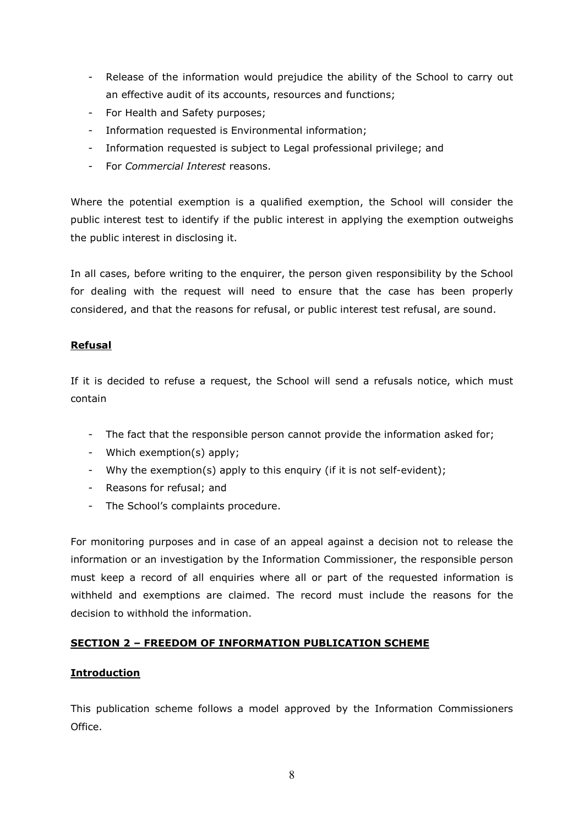- Release of the information would prejudice the ability of the School to carry out an effective audit of its accounts, resources and functions;
- For Health and Safety purposes;
- Information requested is Environmental information;
- Information requested is subject to Legal professional privilege; and
- For *Commercial Interest* reasons.

Where the potential exemption is a qualified exemption, the School will consider the public interest test to identify if the public interest in applying the exemption outweighs the public interest in disclosing it.

In all cases, before writing to the enquirer, the person given responsibility by the School for dealing with the request will need to ensure that the case has been properly considered, and that the reasons for refusal, or public interest test refusal, are sound.

#### **Refusal**

If it is decided to refuse a request, the School will send a refusals notice, which must contain

- The fact that the responsible person cannot provide the information asked for;
- Which exemption(s) apply;
- Why the exemption(s) apply to this enquiry (if it is not self-evident);
- Reasons for refusal; and
- The School's complaints procedure.

For monitoring purposes and in case of an appeal against a decision not to release the information or an investigation by the Information Commissioner, the responsible person must keep a record of all enquiries where all or part of the requested information is withheld and exemptions are claimed. The record must include the reasons for the decision to withhold the information.

#### **SECTION 2 – FREEDOM OF INFORMATION PUBLICATION SCHEME**

#### **Introduction**

This publication scheme follows a model approved by the Information Commissioners Office.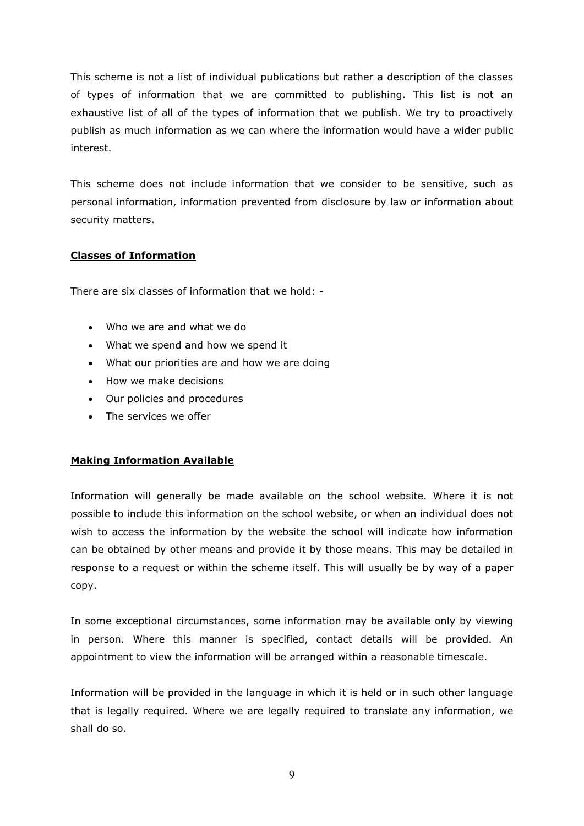This scheme is not a list of individual publications but rather a description of the classes of types of information that we are committed to publishing. This list is not an exhaustive list of all of the types of information that we publish. We try to proactively publish as much information as we can where the information would have a wider public interest.

This scheme does not include information that we consider to be sensitive, such as personal information, information prevented from disclosure by law or information about security matters.

#### **Classes of Information**

There are six classes of information that we hold: -

- Who we are and what we do
- What we spend and how we spend it
- What our priorities are and how we are doing
- How we make decisions
- Our policies and procedures
- The services we offer

#### **Making Information Available**

Information will generally be made available on the school website. Where it is not possible to include this information on the school website, or when an individual does not wish to access the information by the website the school will indicate how information can be obtained by other means and provide it by those means. This may be detailed in response to a request or within the scheme itself. This will usually be by way of a paper copy.

In some exceptional circumstances, some information may be available only by viewing in person. Where this manner is specified, contact details will be provided. An appointment to view the information will be arranged within a reasonable timescale.

Information will be provided in the language in which it is held or in such other language that is legally required. Where we are legally required to translate any information, we shall do so.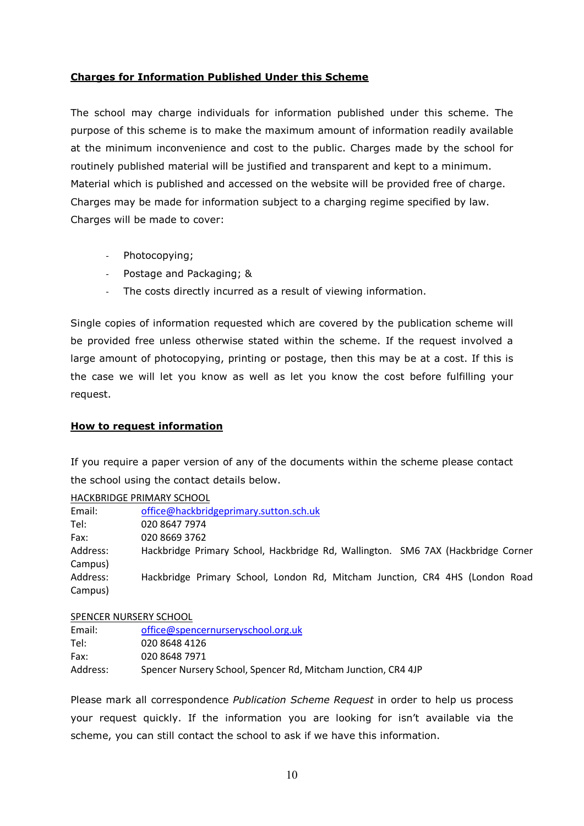#### **Charges for Information Published Under this Scheme**

The school may charge individuals for information published under this scheme. The purpose of this scheme is to make the maximum amount of information readily available at the minimum inconvenience and cost to the public. Charges made by the school for routinely published material will be justified and transparent and kept to a minimum. Material which is published and accessed on the website will be provided free of charge. Charges may be made for information subject to a charging regime specified by law. Charges will be made to cover:

- Photocopying;
- Postage and Packaging; &
- The costs directly incurred as a result of viewing information.

Single copies of information requested which are covered by the publication scheme will be provided free unless otherwise stated within the scheme. If the request involved a large amount of photocopying, printing or postage, then this may be at a cost. If this is the case we will let you know as well as let you know the cost before fulfilling your request.

#### **How to request information**

If you require a paper version of any of the documents within the scheme please contact the school using the contact details below.

HACKBRIDGE PRIMARY SCHOOL Email: [office@hackbridgeprimary.sutton.sch.uk](mailto:office@hackbridgeprimary.sutton.sch.uk) Tel: 020 8647 7974 Fax: 020 8669 3762 Address: Hackbridge Primary School, Hackbridge Rd, Wallington. SM6 7AX (Hackbridge Corner Campus) Address: Hackbridge Primary School, London Rd, Mitcham Junction, CR4 4HS (London Road Campus)

SPENCER NURSERY SCHOOL Email: [office@spencernurseryschool.org.uk](mailto:office@spencernurseryschool.org.uk) Tel: 020 8648 4126 Fax: 020 8648 7971 Address: Spencer Nursery School, Spencer Rd, Mitcham Junction, CR4 4JP

Please mark all correspondence *Publication Scheme Request* in order to help us process your request quickly. If the information you are looking for isn't available via the scheme, you can still contact the school to ask if we have this information.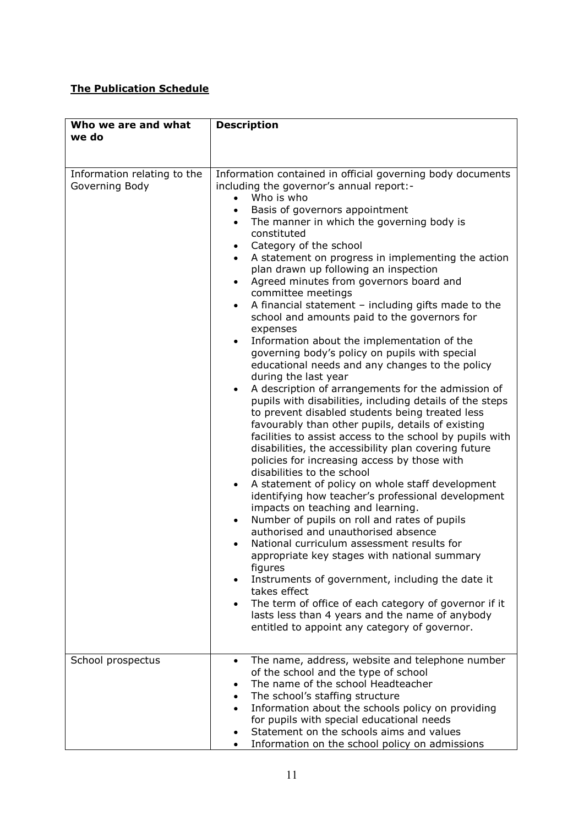## **The Publication Schedule**

| Who we are and what<br>we do                  | <b>Description</b>                                                                                                                                                                                                                                                                                                                                                                                                                                                                                                                                                                                                                                                                                                                                                                                                                                                                                                                                                                                                                                                                                                                                                                                                                                                                                                                                                                                                                                                                                                                                                                                                                                                                                                                                                                                                   |
|-----------------------------------------------|----------------------------------------------------------------------------------------------------------------------------------------------------------------------------------------------------------------------------------------------------------------------------------------------------------------------------------------------------------------------------------------------------------------------------------------------------------------------------------------------------------------------------------------------------------------------------------------------------------------------------------------------------------------------------------------------------------------------------------------------------------------------------------------------------------------------------------------------------------------------------------------------------------------------------------------------------------------------------------------------------------------------------------------------------------------------------------------------------------------------------------------------------------------------------------------------------------------------------------------------------------------------------------------------------------------------------------------------------------------------------------------------------------------------------------------------------------------------------------------------------------------------------------------------------------------------------------------------------------------------------------------------------------------------------------------------------------------------------------------------------------------------------------------------------------------------|
|                                               |                                                                                                                                                                                                                                                                                                                                                                                                                                                                                                                                                                                                                                                                                                                                                                                                                                                                                                                                                                                                                                                                                                                                                                                                                                                                                                                                                                                                                                                                                                                                                                                                                                                                                                                                                                                                                      |
| Information relating to the<br>Governing Body | Information contained in official governing body documents<br>including the governor's annual report:-<br>Who is who<br>Basis of governors appointment<br>The manner in which the governing body is<br>constituted<br>Category of the school<br>$\bullet$<br>A statement on progress in implementing the action<br>$\bullet$<br>plan drawn up following an inspection<br>Agreed minutes from governors board and<br>$\bullet$<br>committee meetings<br>A financial statement $-$ including gifts made to the<br>$\bullet$<br>school and amounts paid to the governors for<br>expenses<br>Information about the implementation of the<br>$\bullet$<br>governing body's policy on pupils with special<br>educational needs and any changes to the policy<br>during the last year<br>A description of arrangements for the admission of<br>$\bullet$<br>pupils with disabilities, including details of the steps<br>to prevent disabled students being treated less<br>favourably than other pupils, details of existing<br>facilities to assist access to the school by pupils with<br>disabilities, the accessibility plan covering future<br>policies for increasing access by those with<br>disabilities to the school<br>A statement of policy on whole staff development<br>$\bullet$<br>identifying how teacher's professional development<br>impacts on teaching and learning.<br>Number of pupils on roll and rates of pupils<br>authorised and unauthorised absence<br>National curriculum assessment results for<br>appropriate key stages with national summary<br>figures<br>Instruments of government, including the date it<br>takes effect<br>The term of office of each category of governor if it<br>lasts less than 4 years and the name of anybody<br>entitled to appoint any category of governor. |
| School prospectus                             | The name, address, website and telephone number<br>$\bullet$<br>of the school and the type of school<br>The name of the school Headteacher<br>The school's staffing structure<br>$\bullet$<br>Information about the schools policy on providing<br>for pupils with special educational needs<br>Statement on the schools aims and values<br>Information on the school policy on admissions                                                                                                                                                                                                                                                                                                                                                                                                                                                                                                                                                                                                                                                                                                                                                                                                                                                                                                                                                                                                                                                                                                                                                                                                                                                                                                                                                                                                                           |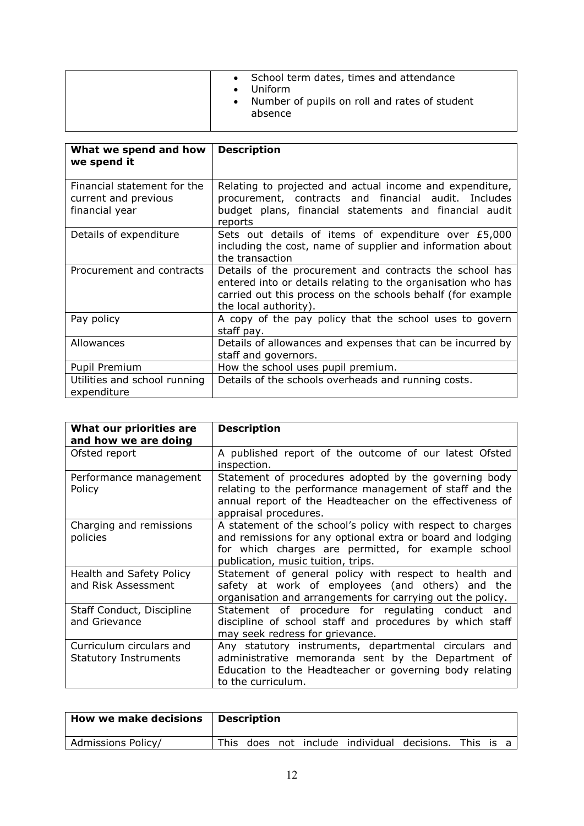| What we spend and how<br>we spend it                                  | <b>Description</b>                                                                                                                                                                                              |
|-----------------------------------------------------------------------|-----------------------------------------------------------------------------------------------------------------------------------------------------------------------------------------------------------------|
| Financial statement for the<br>current and previous<br>financial year | Relating to projected and actual income and expenditure,<br>procurement, contracts and financial audit. Includes<br>budget plans, financial statements and financial audit<br>reports                           |
| Details of expenditure                                                | Sets out details of items of expenditure over £5,000<br>including the cost, name of supplier and information about<br>the transaction                                                                           |
| Procurement and contracts                                             | Details of the procurement and contracts the school has<br>entered into or details relating to the organisation who has<br>carried out this process on the schools behalf (for example<br>the local authority). |
| Pay policy                                                            | A copy of the pay policy that the school uses to govern<br>staff pay.                                                                                                                                           |
| Allowances                                                            | Details of allowances and expenses that can be incurred by<br>staff and governors.                                                                                                                              |
| Pupil Premium                                                         | How the school uses pupil premium.                                                                                                                                                                              |
| Utilities and school running<br>expenditure                           | Details of the schools overheads and running costs.                                                                                                                                                             |

| What our priorities are<br>and how we are doing          | <b>Description</b>                                                                                                                                                                                                    |
|----------------------------------------------------------|-----------------------------------------------------------------------------------------------------------------------------------------------------------------------------------------------------------------------|
| Ofsted report                                            | A published report of the outcome of our latest Ofsted<br>inspection.                                                                                                                                                 |
| Performance management<br>Policy                         | Statement of procedures adopted by the governing body<br>relating to the performance management of staff and the<br>annual report of the Headteacher on the effectiveness of<br>appraisal procedures.                 |
| Charging and remissions<br>policies                      | A statement of the school's policy with respect to charges<br>and remissions for any optional extra or board and lodging<br>for which charges are permitted, for example school<br>publication, music tuition, trips. |
| Health and Safety Policy<br>and Risk Assessment          | Statement of general policy with respect to health and<br>safety at work of employees (and others) and the<br>organisation and arrangements for carrying out the policy.                                              |
| Staff Conduct, Discipline<br>and Grievance               | Statement of procedure for regulating conduct and<br>discipline of school staff and procedures by which staff<br>may seek redress for grievance.                                                                      |
| Curriculum circulars and<br><b>Statutory Instruments</b> | Any statutory instruments, departmental circulars and<br>administrative memoranda sent by the Department of<br>Education to the Headteacher or governing body relating<br>to the curriculum.                          |

| How we make decisions   Description |  |  |                                                       |  |  |
|-------------------------------------|--|--|-------------------------------------------------------|--|--|
| Admissions Policy/                  |  |  | This does not include individual decisions. This is a |  |  |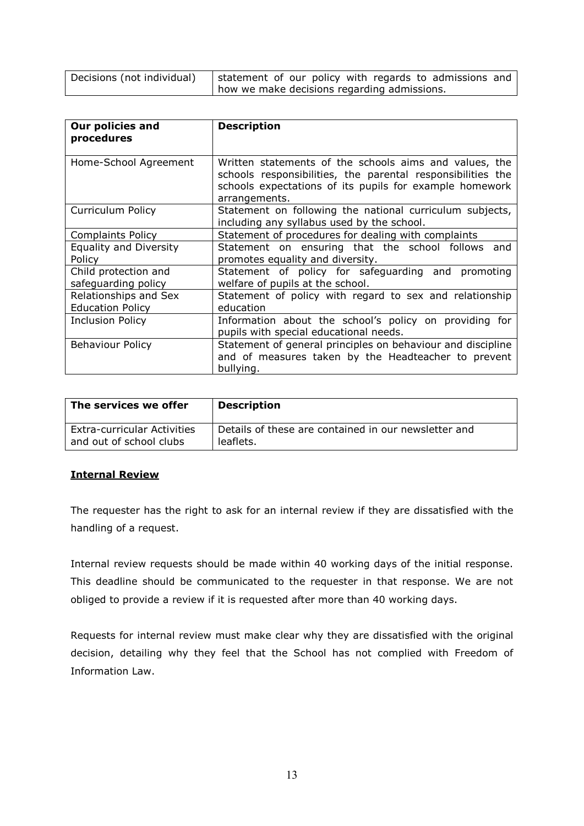| Decisions (not individual) | statement of our policy with regards to admissions and |  |
|----------------------------|--------------------------------------------------------|--|
|                            | I how we make decisions regarding admissions.          |  |

| Our policies and              | <b>Description</b>                                          |
|-------------------------------|-------------------------------------------------------------|
| procedures                    |                                                             |
|                               |                                                             |
| Home-School Agreement         | Written statements of the schools aims and values, the      |
|                               | schools responsibilities, the parental responsibilities the |
|                               | schools expectations of its pupils for example homework     |
|                               | arrangements.                                               |
| Curriculum Policy             | Statement on following the national curriculum subjects,    |
|                               | including any syllabus used by the school.                  |
| <b>Complaints Policy</b>      | Statement of procedures for dealing with complaints         |
| <b>Equality and Diversity</b> | Statement on ensuring that the school follows and           |
| Policy                        | promotes equality and diversity.                            |
| Child protection and          | Statement of policy for safeguarding and promoting          |
| safeguarding policy           | welfare of pupils at the school.                            |
| Relationships and Sex         | Statement of policy with regard to sex and relationship     |
| <b>Education Policy</b>       | education                                                   |
| <b>Inclusion Policy</b>       | Information about the school's policy on providing for      |
|                               | pupils with special educational needs.                      |
| <b>Behaviour Policy</b>       | Statement of general principles on behaviour and discipline |
|                               | and of measures taken by the Headteacher to prevent         |
|                               | bullying.                                                   |

| The services we offer              | <b>Description</b>                                   |
|------------------------------------|------------------------------------------------------|
| <b>Extra-curricular Activities</b> | Details of these are contained in our newsletter and |
| and out of school clubs            | leaflets.                                            |

#### **Internal Review**

The requester has the right to ask for an internal review if they are dissatisfied with the handling of a request.

Internal review requests should be made within 40 working days of the initial response. This deadline should be communicated to the requester in that response. We are not obliged to provide a review if it is requested after more than 40 working days.

Requests for internal review must make clear why they are dissatisfied with the original decision, detailing why they feel that the School has not complied with Freedom of Information Law.